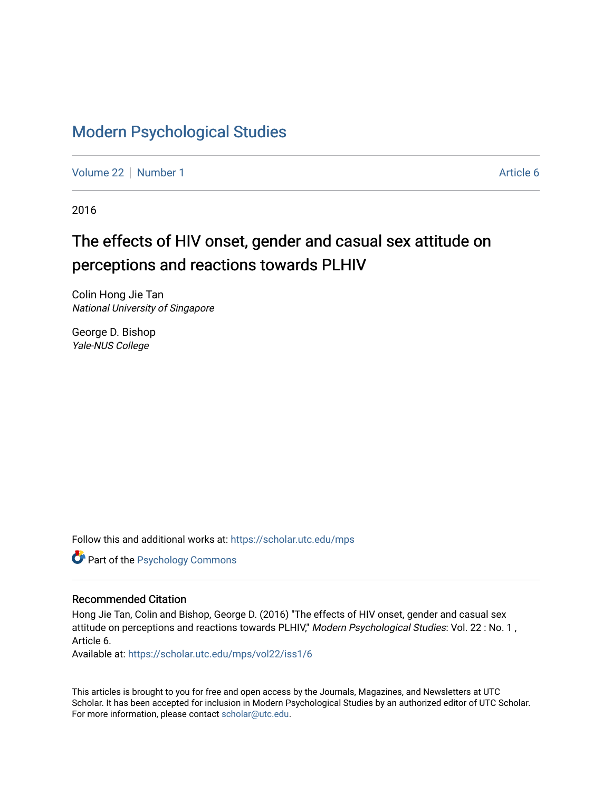## [Modern Psychological Studies](https://scholar.utc.edu/mps)

[Volume 22](https://scholar.utc.edu/mps/vol22) [Number 1](https://scholar.utc.edu/mps/vol22/iss1) Article 6

2016

# The effects of HIV onset, gender and casual sex attitude on perceptions and reactions towards PLHIV

Colin Hong Jie Tan National University of Singapore

George D. Bishop Yale-NUS College

Follow this and additional works at: [https://scholar.utc.edu/mps](https://scholar.utc.edu/mps?utm_source=scholar.utc.edu%2Fmps%2Fvol22%2Fiss1%2F6&utm_medium=PDF&utm_campaign=PDFCoverPages) 

Part of the [Psychology Commons](http://network.bepress.com/hgg/discipline/404?utm_source=scholar.utc.edu%2Fmps%2Fvol22%2Fiss1%2F6&utm_medium=PDF&utm_campaign=PDFCoverPages) 

#### Recommended Citation

Hong Jie Tan, Colin and Bishop, George D. (2016) "The effects of HIV onset, gender and casual sex attitude on perceptions and reactions towards PLHIV," Modern Psychological Studies: Vol. 22 : No. 1, Article 6.

Available at: [https://scholar.utc.edu/mps/vol22/iss1/6](https://scholar.utc.edu/mps/vol22/iss1/6?utm_source=scholar.utc.edu%2Fmps%2Fvol22%2Fiss1%2F6&utm_medium=PDF&utm_campaign=PDFCoverPages) 

This articles is brought to you for free and open access by the Journals, Magazines, and Newsletters at UTC Scholar. It has been accepted for inclusion in Modern Psychological Studies by an authorized editor of UTC Scholar. For more information, please contact [scholar@utc.edu](mailto:scholar@utc.edu).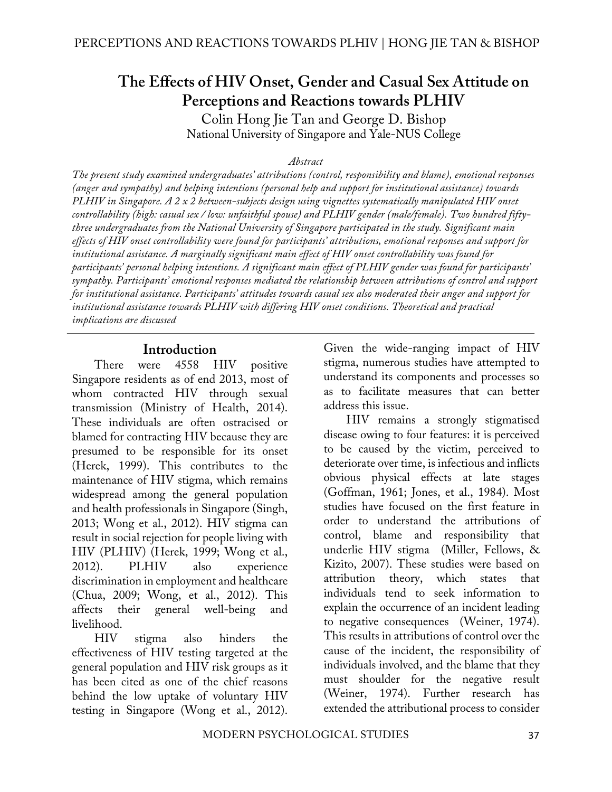# **The Effects of HIV Onset, Gender and Casual Sex Attitude on Perceptions and Reactions towards PLHIV**

Colin Hong Jie Tan and George D. Bishop National University of Singapore and Yale-NUS College

#### *Abstract*

*The present study examined undergraduates' attributions (control, responsibility and blame), emotional responses (anger and sympathy) and helping intentions (personal help and support for institutional assistance) towards PLHIV in Singapore. A 2 x 2 between-subjects design using vignettes systematically manipulated HIV onset controllability (high: casual sex / low: unfaithful spouse) and PLHIV gender (male/female). Two hundred fiftythree undergraduates from the National University of Singapore participated in the study. Significant main effects of HIV onset controllability were found for participants' attributions, emotional responses and support for institutional assistance. A marginally significant main effect of HIV onset controllability was found for participants' personal helping intentions. A significant main effect of PLHIV gender was found for participants' sympathy. Participants' emotional responses mediated the relationship between attributions of control and support for institutional assistance. Participants' attitudes towards casual sex also moderated their anger and support for institutional assistance towards PLHIV with differing HIV onset conditions. Theoretical and practical implications are discussed* 

#### **Introduction**

There were 4558 HIV positive Singapore residents as of end 2013, most of whom contracted HIV through sexual transmission (Ministry of Health, 2014). These individuals are often ostracised or blamed for contracting HIV because they are presumed to be responsible for its onset (Herek, 1999). This contributes to the maintenance of HIV stigma, which remains widespread among the general population and health professionals in Singapore (Singh, 2013; Wong et al., 2012). HIV stigma can result in social rejection for people living with HIV (PLHIV) (Herek, 1999; Wong et al., 2012). PLHIV also experience discrimination in employment and healthcare (Chua, 2009; Wong, et al., 2012). This affects their general well-being and livelihood.

HIV stigma also hinders the effectiveness of HIV testing targeted at the general population and HIV risk groups as it has been cited as one of the chief reasons behind the low uptake of voluntary HIV testing in Singapore (Wong et al., 2012). Given the wide-ranging impact of HIV stigma, numerous studies have attempted to understand its components and processes so as to facilitate measures that can better address this issue.

HIV remains a strongly stigmatised disease owing to four features: it is perceived to be caused by the victim, perceived to deteriorate over time, is infectious and inflicts obvious physical effects at late stages (Goffman, 1961; Jones, et al., 1984). Most studies have focused on the first feature in order to understand the attributions of control, blame and responsibility that underlie HIV stigma (Miller, Fellows, & Kizito, 2007). These studies were based on attribution theory, which states that individuals tend to seek information to explain the occurrence of an incident leading to negative consequences (Weiner, 1974). This results in attributions of control over the cause of the incident, the responsibility of individuals involved, and the blame that they must shoulder for the negative result (Weiner, 1974). Further research has extended the attributional process to consider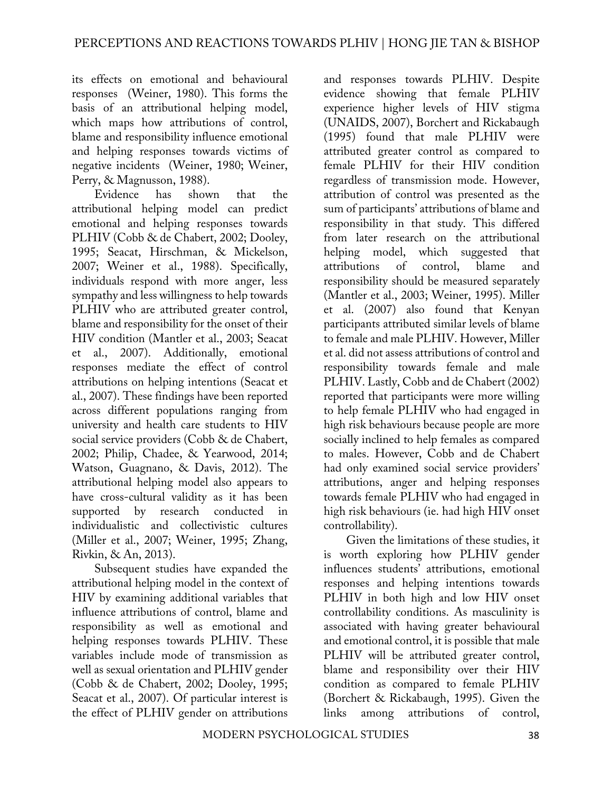its effects on emotional and behavioural responses (Weiner, 1980). This forms the basis of an attributional helping model, which maps how attributions of control, blame and responsibility influence emotional and helping responses towards victims of negative incidents (Weiner, 1980; Weiner, Perry, & Magnusson, 1988).

Evidence has shown that the attributional helping model can predict emotional and helping responses towards PLHIV (Cobb & de Chabert, 2002; Dooley, 1995; Seacat, Hirschman, & Mickelson, 2007; Weiner et al., 1988). Specifically, individuals respond with more anger, less sympathy and less willingness to help towards PLHIV who are attributed greater control, blame and responsibility for the onset of their HIV condition (Mantler et al., 2003; Seacat et al., 2007). Additionally, emotional responses mediate the effect of control attributions on helping intentions (Seacat et al., 2007). These findings have been reported across different populations ranging from university and health care students to HIV social service providers (Cobb & de Chabert, 2002; Philip, Chadee, & Yearwood, 2014; Watson, Guagnano, & Davis, 2012). The attributional helping model also appears to have cross-cultural validity as it has been supported by research conducted in individualistic and collectivistic cultures (Miller et al., 2007; Weiner, 1995; Zhang, Rivkin, & An, 2013).

Subsequent studies have expanded the attributional helping model in the context of HIV by examining additional variables that influence attributions of control, blame and responsibility as well as emotional and helping responses towards PLHIV. These variables include mode of transmission as well as sexual orientation and PLHIV gender (Cobb & de Chabert, 2002; Dooley, 1995; Seacat et al., 2007). Of particular interest is the effect of PLHIV gender on attributions

and responses towards PLHIV. Despite evidence showing that female PLHIV experience higher levels of HIV stigma (UNAIDS, 2007), Borchert and Rickabaugh (1995) found that male PLHIV were attributed greater control as compared to female PLHIV for their HIV condition regardless of transmission mode. However, attribution of control was presented as the sum of participants' attributions of blame and responsibility in that study. This differed from later research on the attributional helping model, which suggested that attributions of control, blame and responsibility should be measured separately (Mantler et al., 2003; Weiner, 1995). Miller et al. (2007) also found that Kenyan participants attributed similar levels of blame to female and male PLHIV. However, Miller et al. did not assess attributions of control and responsibility towards female and male PLHIV. Lastly, Cobb and de Chabert (2002) reported that participants were more willing to help female PLHIV who had engaged in high risk behaviours because people are more socially inclined to help females as compared to males. However, Cobb and de Chabert had only examined social service providers' attributions, anger and helping responses towards female PLHIV who had engaged in high risk behaviours (ie. had high HIV onset controllability).

Given the limitations of these studies, it is worth exploring how PLHIV gender influences students' attributions, emotional responses and helping intentions towards PLHIV in both high and low HIV onset controllability conditions. As masculinity is associated with having greater behavioural and emotional control, it is possible that male PLHIV will be attributed greater control, blame and responsibility over their HIV condition as compared to female PLHIV (Borchert & Rickabaugh, 1995). Given the links among attributions of control,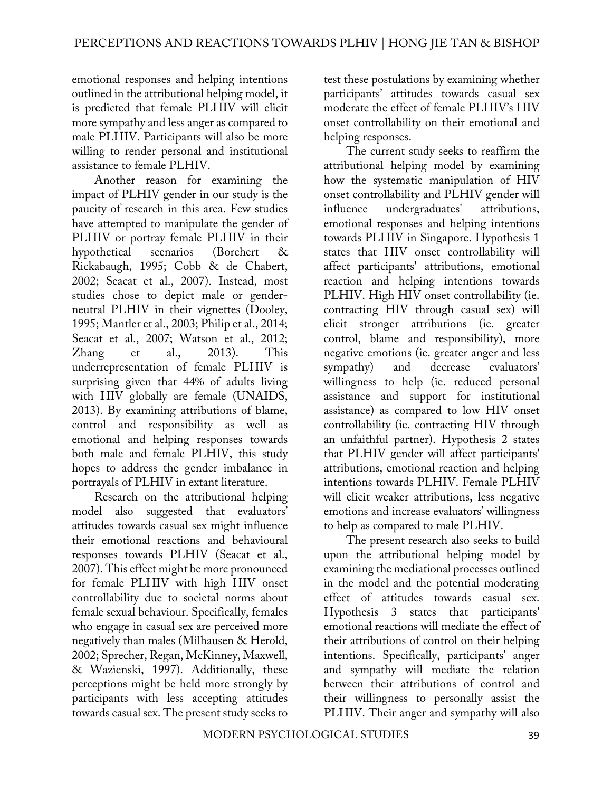emotional responses and helping intentions outlined in the attributional helping model, it is predicted that female PLHIV will elicit more sympathy and less anger as compared to male PLHIV. Participants will also be more willing to render personal and institutional assistance to female PLHIV.

Another reason for examining the impact of PLHIV gender in our study is the paucity of research in this area. Few studies have attempted to manipulate the gender of PLHIV or portray female PLHIV in their hypothetical scenarios (Borchert & Rickabaugh, 1995; Cobb & de Chabert, 2002; Seacat et al., 2007). Instead, most studies chose to depict male or genderneutral PLHIV in their vignettes (Dooley, 1995; Mantler et al., 2003; Philip et al., 2014; Seacat et al., 2007; Watson et al., 2012; Zhang et al., 2013). This underrepresentation of female PLHIV is surprising given that 44% of adults living with HIV globally are female (UNAIDS, 2013). By examining attributions of blame, control and responsibility as well as emotional and helping responses towards both male and female PLHIV, this study hopes to address the gender imbalance in portrayals of PLHIV in extant literature.

Research on the attributional helping model also suggested that evaluators' attitudes towards casual sex might influence their emotional reactions and behavioural responses towards PLHIV (Seacat et al., 2007). This effect might be more pronounced for female PLHIV with high HIV onset controllability due to societal norms about female sexual behaviour. Specifically, females who engage in casual sex are perceived more negatively than males (Milhausen & Herold, 2002; Sprecher, Regan, McKinney, Maxwell, & Wazienski, 1997). Additionally, these perceptions might be held more strongly by participants with less accepting attitudes towards casual sex. The present study seeks to

test these postulations by examining whether participants' attitudes towards casual sex moderate the effect of female PLHIV's HIV onset controllability on their emotional and helping responses.

The current study seeks to reaffirm the attributional helping model by examining how the systematic manipulation of HIV onset controllability and PLHIV gender will influence undergraduates' attributions, emotional responses and helping intentions towards PLHIV in Singapore. Hypothesis 1 states that HIV onset controllability will affect participants' attributions, emotional reaction and helping intentions towards PLHIV. High HIV onset controllability (ie. contracting HIV through casual sex) will elicit stronger attributions (ie. greater control, blame and responsibility), more negative emotions (ie. greater anger and less sympathy) and decrease evaluators' willingness to help (ie. reduced personal assistance and support for institutional assistance) as compared to low HIV onset controllability (ie. contracting HIV through an unfaithful partner). Hypothesis 2 states that PLHIV gender will affect participants' attributions, emotional reaction and helping intentions towards PLHIV. Female PLHIV will elicit weaker attributions, less negative emotions and increase evaluators' willingness to help as compared to male PLHIV.

The present research also seeks to build upon the attributional helping model by examining the mediational processes outlined in the model and the potential moderating effect of attitudes towards casual sex. Hypothesis 3 states that participants' emotional reactions will mediate the effect of their attributions of control on their helping intentions. Specifically, participants' anger and sympathy will mediate the relation between their attributions of control and their willingness to personally assist the PLHIV. Their anger and sympathy will also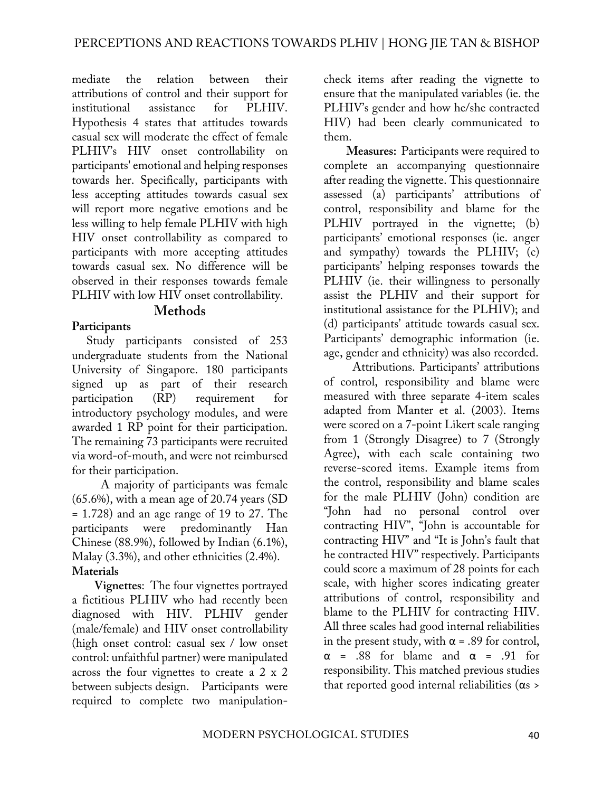mediate the relation between their attributions of control and their support for institutional assistance for PLHIV. Hypothesis 4 states that attitudes towards casual sex will moderate the effect of female PLHIV's HIV onset controllability on participants' emotional and helping responses towards her. Specifically, participants with less accepting attitudes towards casual sex will report more negative emotions and be less willing to help female PLHIV with high HIV onset controllability as compared to participants with more accepting attitudes towards casual sex. No difference will be observed in their responses towards female PLHIV with low HIV onset controllability.

#### **Methods**

## **Participants**

Study participants consisted of 253 undergraduate students from the National University of Singapore. 180 participants signed up as part of their research participation (RP) requirement for introductory psychology modules, and were awarded 1 RP point for their participation. The remaining 73 participants were recruited via word-of-mouth, and were not reimbursed for their participation.

A majority of participants was female (65.6%), with a mean age of 20.74 years (SD = 1.728) and an age range of 19 to 27. The participants were predominantly Han Chinese (88.9%), followed by Indian (6.1%), Malay (3.3%), and other ethnicities (2.4%). **Materials**

**Vignettes**: The four vignettes portrayed a fictitious PLHIV who had recently been diagnosed with HIV. PLHIV gender (male/female) and HIV onset controllability (high onset control: casual sex / low onset control: unfaithful partner) were manipulated across the four vignettes to create a 2 x 2 between subjects design. Participants were required to complete two manipulationcheck items after reading the vignette to ensure that the manipulated variables (ie. the PLHIV's gender and how he/she contracted HIV) had been clearly communicated to them.

**Measures:** Participants were required to complete an accompanying questionnaire after reading the vignette. This questionnaire assessed (a) participants' attributions of control, responsibility and blame for the PLHIV portrayed in the vignette; (b) participants' emotional responses (ie. anger and sympathy) towards the PLHIV; (c) participants' helping responses towards the PLHIV (ie. their willingness to personally assist the PLHIV and their support for institutional assistance for the PLHIV); and (d) participants' attitude towards casual sex. Participants' demographic information (ie. age, gender and ethnicity) was also recorded.

Attributions. Participants' attributions of control, responsibility and blame were measured with three separate 4-item scales adapted from Manter et al. (2003). Items were scored on a 7-point Likert scale ranging from 1 (Strongly Disagree) to 7 (Strongly Agree), with each scale containing two reverse-scored items. Example items from the control, responsibility and blame scales for the male PLHIV (John) condition are "John had no personal control over contracting HIV", "John is accountable for contracting HIV" and "It is John's fault that he contracted HIV" respectively. Participants could score a maximum of 28 points for each scale, with higher scores indicating greater attributions of control, responsibility and blame to the PLHIV for contracting HIV. All three scales had good internal reliabilities in the present study, with  $\alpha$  = .89 for control,  $\alpha$  = .88 for blame and  $\alpha$  = .91 for responsibility. This matched previous studies that reported good internal reliabilities ( $α<sub>s</sub>$ )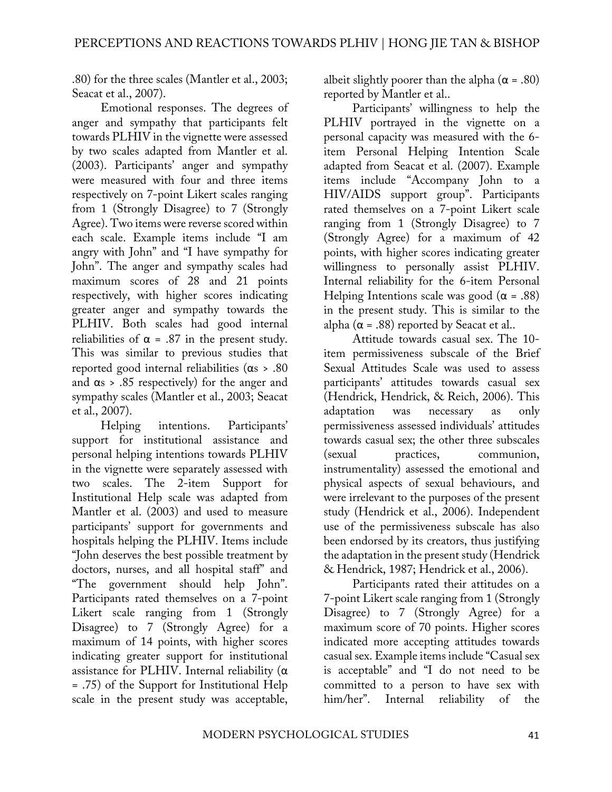.80) for the three scales (Mantler et al., 2003; Seacat et al., 2007).

Emotional responses. The degrees of anger and sympathy that participants felt towards PLHIV in the vignette were assessed by two scales adapted from Mantler et al. (2003). Participants' anger and sympathy were measured with four and three items respectively on 7-point Likert scales ranging from 1 (Strongly Disagree) to 7 (Strongly Agree). Two items were reverse scored within each scale. Example items include "I am angry with John" and "I have sympathy for John". The anger and sympathy scales had maximum scores of 28 and 21 points respectively, with higher scores indicating greater anger and sympathy towards the PLHIV. Both scales had good internal reliabilities of  $\alpha$  = .87 in the present study. This was similar to previous studies that reported good internal reliabilities (αs > .80 and  $\alpha$ s > .85 respectively) for the anger and sympathy scales (Mantler et al., 2003; Seacat et al., 2007).

Helping intentions. Participants' support for institutional assistance and personal helping intentions towards PLHIV in the vignette were separately assessed with two scales. The 2-item Support for Institutional Help scale was adapted from Mantler et al. (2003) and used to measure participants' support for governments and hospitals helping the PLHIV. Items include "John deserves the best possible treatment by doctors, nurses, and all hospital staff" and "The government should help John". Participants rated themselves on a 7-point Likert scale ranging from 1 (Strongly Disagree) to 7 (Strongly Agree) for a maximum of 14 points, with higher scores indicating greater support for institutional assistance for PLHIV. Internal reliability  $(\alpha)$ = .75) of the Support for Institutional Help scale in the present study was acceptable,

albeit slightly poorer than the alpha  $(\alpha = .80)$ reported by Mantler et al..

Participants' willingness to help the PLHIV portrayed in the vignette on a personal capacity was measured with the 6 item Personal Helping Intention Scale adapted from Seacat et al. (2007). Example items include "Accompany John to a HIV/AIDS support group". Participants rated themselves on a 7-point Likert scale ranging from 1 (Strongly Disagree) to 7 (Strongly Agree) for a maximum of 42 points, with higher scores indicating greater willingness to personally assist PLHIV. Internal reliability for the 6-item Personal Helping Intentions scale was good  $(\alpha = .88)$ in the present study. This is similar to the alpha ( $\alpha$  = .88) reported by Seacat et al..

Attitude towards casual sex. The 10 item permissiveness subscale of the Brief Sexual Attitudes Scale was used to assess participants' attitudes towards casual sex (Hendrick, Hendrick, & Reich, 2006). This adaptation was necessary as only permissiveness assessed individuals' attitudes towards casual sex; the other three subscales (sexual practices, communion, instrumentality) assessed the emotional and physical aspects of sexual behaviours, and were irrelevant to the purposes of the present study (Hendrick et al., 2006). Independent use of the permissiveness subscale has also been endorsed by its creators, thus justifying the adaptation in the present study (Hendrick & Hendrick, 1987; Hendrick et al., 2006).

Participants rated their attitudes on a 7-point Likert scale ranging from 1 (Strongly Disagree) to 7 (Strongly Agree) for a maximum score of 70 points. Higher scores indicated more accepting attitudes towards casual sex. Example items include "Casual sex is acceptable" and "I do not need to be committed to a person to have sex with him/her". Internal reliability of the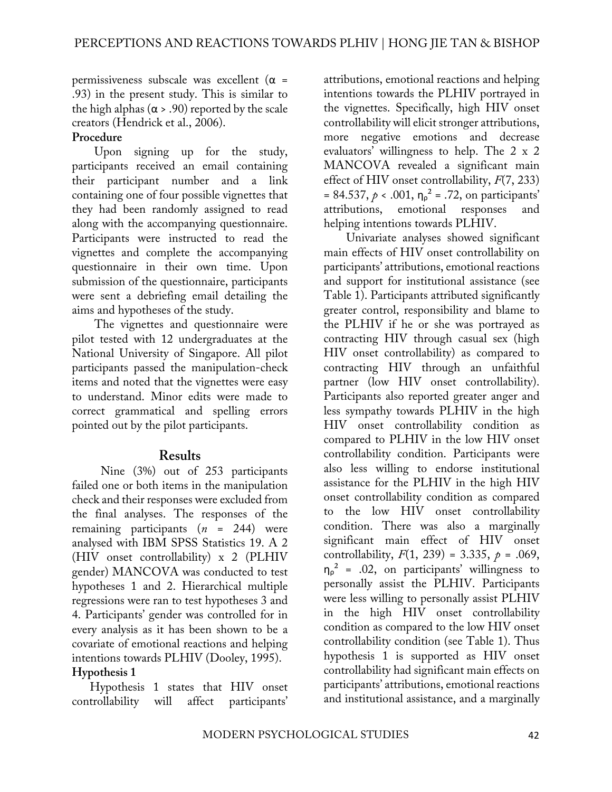permissiveness subscale was excellent ( $\alpha$  = .93) in the present study. This is similar to the high alphas ( $\alpha$  > .90) reported by the scale creators (Hendrick et al., 2006).

#### **Procedure**

Upon signing up for the study, participants received an email containing their participant number and a link containing one of four possible vignettes that they had been randomly assigned to read along with the accompanying questionnaire. Participants were instructed to read the vignettes and complete the accompanying questionnaire in their own time. Upon submission of the questionnaire, participants were sent a debriefing email detailing the aims and hypotheses of the study.

The vignettes and questionnaire were pilot tested with 12 undergraduates at the National University of Singapore. All pilot participants passed the manipulation-check items and noted that the vignettes were easy to understand. Minor edits were made to correct grammatical and spelling errors pointed out by the pilot participants.

#### **Results**

Nine (3%) out of 253 participants failed one or both items in the manipulation check and their responses were excluded from the final analyses. The responses of the remaining participants (*n* = 244) were analysed with IBM SPSS Statistics 19. A 2 (HIV onset controllability) x 2 (PLHIV gender) MANCOVA was conducted to test hypotheses 1 and 2. Hierarchical multiple regressions were ran to test hypotheses 3 and 4. Participants' gender was controlled for in every analysis as it has been shown to be a covariate of emotional reactions and helping intentions towards PLHIV (Dooley, 1995). **Hypothesis 1**

Hypothesis 1 states that HIV onset controllability will affect participants' attributions, emotional reactions and helping intentions towards the PLHIV portrayed in the vignettes. Specifically, high HIV onset controllability will elicit stronger attributions, more negative emotions and decrease evaluators' willingness to help. The 2 x 2 MANCOVA revealed a significant main effect of HIV onset controllability, *F*(7, 233)  $= 84.537, p < .001, \eta_p^2 = .72$ , on participants' attributions, emotional responses and helping intentions towards PLHIV.

Univariate analyses showed significant main effects of HIV onset controllability on participants' attributions, emotional reactions and support for institutional assistance (see Table 1). Participants attributed significantly greater control, responsibility and blame to the PLHIV if he or she was portrayed as contracting HIV through casual sex (high HIV onset controllability) as compared to contracting HIV through an unfaithful partner (low HIV onset controllability). Participants also reported greater anger and less sympathy towards PLHIV in the high HIV onset controllability condition as compared to PLHIV in the low HIV onset controllability condition. Participants were also less willing to endorse institutional assistance for the PLHIV in the high HIV onset controllability condition as compared to the low HIV onset controllability condition. There was also a marginally significant main effect of HIV onset controllability,  $F(1, 239) = 3.335$ ,  $p = .069$ ,  $\eta_{\rho}^2$  = .02, on participants' willingness to personally assist the PLHIV. Participants were less willing to personally assist PLHIV in the high HIV onset controllability condition as compared to the low HIV onset controllability condition (see Table 1). Thus hypothesis 1 is supported as HIV onset controllability had significant main effects on participants' attributions, emotional reactions and institutional assistance, and a marginally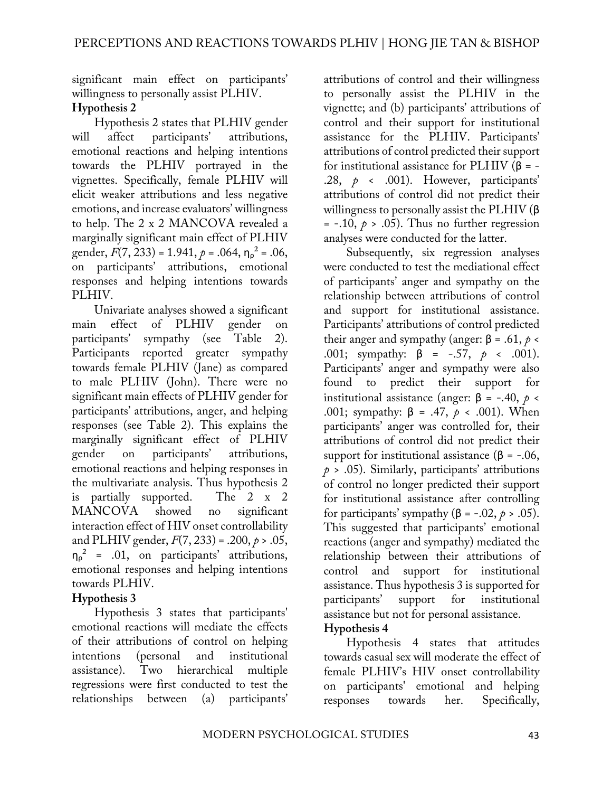significant main effect on participants' willingness to personally assist PLHIV. **Hypothesis 2**

Hypothesis 2 states that PLHIV gender will affect participants' attributions, emotional reactions and helping intentions towards the PLHIV portrayed in the vignettes. Specifically, female PLHIV will elicit weaker attributions and less negative emotions, and increase evaluators' willingness to help. The 2 x 2 MANCOVA revealed a marginally significant main effect of PLHIV gender, *F*(7, 233) = 1.941, *p* = .064, ηρ ² = .06, on participants' attributions, emotional responses and helping intentions towards PLHIV.

Univariate analyses showed a significant main effect of PLHIV gender on participants' sympathy (see Table 2). Participants reported greater sympathy towards female PLHIV (Jane) as compared to male PLHIV (John). There were no significant main effects of PLHIV gender for participants' attributions, anger, and helping responses (see Table 2). This explains the marginally significant effect of PLHIV gender on participants' attributions, emotional reactions and helping responses in the multivariate analysis. Thus hypothesis 2 is partially supported. The 2 x 2 MANCOVA showed no significant interaction effect of HIV onset controllability and PLHIV gender, *F*(7, 233) = .200, *p* > .05,  $\eta_{\rho}^2$  = .01, on participants' attributions, emotional responses and helping intentions towards PLHIV.

## **Hypothesis 3**

Hypothesis 3 states that participants' emotional reactions will mediate the effects of their attributions of control on helping intentions (personal and institutional assistance). Two hierarchical multiple regressions were first conducted to test the relationships between (a) participants'

attributions of control and their willingness to personally assist the PLHIV in the vignette; and (b) participants' attributions of control and their support for institutional assistance for the PLHIV. Participants' attributions of control predicted their support for institutional assistance for PLHIV (β = - .28, *p* < .001). However, participants' attributions of control did not predict their willingness to personally assist the PLHIV (β  $= -.10, p > .05$ ). Thus no further regression analyses were conducted for the latter.

Subsequently, six regression analyses were conducted to test the mediational effect of participants' anger and sympathy on the relationship between attributions of control and support for institutional assistance. Participants' attributions of control predicted their anger and sympathy (anger: β = .61,  $p \lt$ .001; sympathy: β = -.57, *p* < .001). Participants' anger and sympathy were also found to predict their support for institutional assistance (anger:  $β = -.40, p <$ .001; sympathy: β = .47, *p* < .001). When participants' anger was controlled for, their attributions of control did not predict their support for institutional assistance ( $\beta$  = -.06,  $p > .05$ ). Similarly, participants' attributions of control no longer predicted their support for institutional assistance after controlling for participants' sympathy (β = -.02, *p* > .05). This suggested that participants' emotional reactions (anger and sympathy) mediated the relationship between their attributions of control and support for institutional assistance. Thus hypothesis 3 is supported for participants' support for institutional assistance but not for personal assistance. **Hypothesis 4**

Hypothesis 4 states that attitudes towards casual sex will moderate the effect of female PLHIV's HIV onset controllability on participants' emotional and helping responses towards her. Specifically,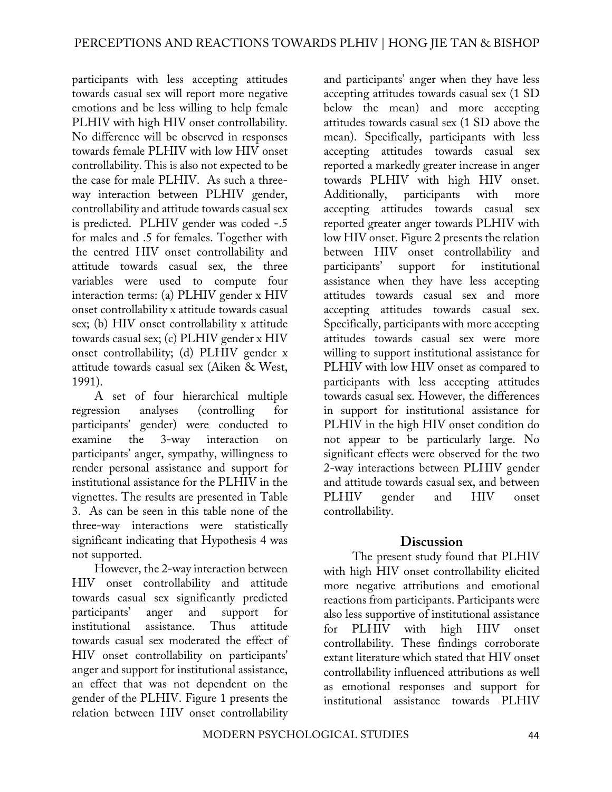participants with less accepting attitudes towards casual sex will report more negative emotions and be less willing to help female PLHIV with high HIV onset controllability. No difference will be observed in responses towards female PLHIV with low HIV onset controllability. This is also not expected to be the case for male PLHIV. As such a threeway interaction between PLHIV gender, controllability and attitude towards casual sex is predicted. PLHIV gender was coded -.5 for males and .5 for females. Together with the centred HIV onset controllability and attitude towards casual sex, the three variables were used to compute four interaction terms: (a) PLHIV gender x HIV onset controllability x attitude towards casual sex; (b) HIV onset controllability x attitude towards casual sex; (c) PLHIV gender x HIV onset controllability; (d) PLHIV gender x attitude towards casual sex (Aiken & West, 1991).

A set of four hierarchical multiple regression analyses (controlling for participants' gender) were conducted to examine the 3-way interaction on participants' anger, sympathy, willingness to render personal assistance and support for institutional assistance for the PLHIV in the vignettes. The results are presented in Table 3. As can be seen in this table none of the three-way interactions were statistically significant indicating that Hypothesis 4 was not supported.

However, the 2-way interaction between HIV onset controllability and attitude towards casual sex significantly predicted participants' anger and support for institutional assistance. Thus attitude towards casual sex moderated the effect of HIV onset controllability on participants' anger and support for institutional assistance, an effect that was not dependent on the gender of the PLHIV. Figure 1 presents the relation between HIV onset controllability

and participants' anger when they have less accepting attitudes towards casual sex (1 SD below the mean) and more accepting attitudes towards casual sex (1 SD above the mean). Specifically, participants with less accepting attitudes towards casual sex reported a markedly greater increase in anger towards PLHIV with high HIV onset. Additionally, participants with more accepting attitudes towards casual sex reported greater anger towards PLHIV with low HIV onset. Figure 2 presents the relation between HIV onset controllability and participants' support for institutional assistance when they have less accepting attitudes towards casual sex and more accepting attitudes towards casual sex. Specifically, participants with more accepting attitudes towards casual sex were more willing to support institutional assistance for PLHIV with low HIV onset as compared to participants with less accepting attitudes towards casual sex. However, the differences in support for institutional assistance for PLHIV in the high HIV onset condition do not appear to be particularly large. No significant effects were observed for the two 2-way interactions between PLHIV gender and attitude towards casual sex, and between PLHIV gender and HIV onset controllability.

## **Discussion**

The present study found that PLHIV with high HIV onset controllability elicited more negative attributions and emotional reactions from participants. Participants were also less supportive of institutional assistance for PLHIV with high HIV onset controllability. These findings corroborate extant literature which stated that HIV onset controllability influenced attributions as well as emotional responses and support for institutional assistance towards PLHIV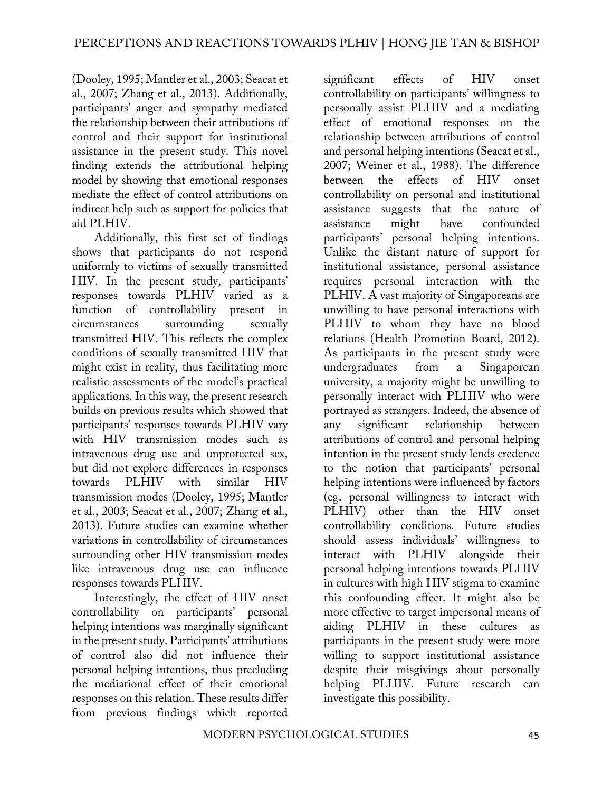(Dooley, 1995; Mantler et al., 2003; Seacat et al., 2007; Zhang et al., 2013). Additionally, participants' anger and sympathy mediated the relationship between their attributions of control and their support for institutional assistance in the present study. This novel finding extends the attributional helping model by showing that emotional responses mediate the effect of control attributions on indirect help such as support for policies that aid PLHIV.

Additionally, this first set of findings shows that participants do not respond uniformly to victims of sexually transmitted HIV. In the present study, participants' responses towards PLHIV varied as a function of controllability present in circumstances surrounding sexually transmitted HIV. This reflects the complex conditions of sexually transmitted HIV that might exist in reality, thus facilitating more realistic assessments of the model's practical applications. In this way, the present research builds on previous results which showed that participants' responses towards PLHIV vary with HIV transmission modes such as intravenous drug use and unprotected sex, but did not explore differences in responses towards PLHIV with similar HIV transmission modes (Dooley, 1995; Mantler et al., 2003; Seacat et al., 2007; Zhang et al., 2013). Future studies can examine whether variations in controllability of circumstances surrounding other HIV transmission modes like intravenous drug use can influence responses towards PLHIV.

Interestingly, the effect of HIV onset controllability on participants' personal helping intentions was marginally significant in the present study. Participants' attributions of control also did not influence their personal helping intentions, thus precluding the mediational effect of their emotional responses on this relation. These results differ from previous findings which reported

significant effects of HIV onset controllability on participants' willingness to personally assist PLHIV and a mediating effect of emotional responses on the relationship between attributions of control and personal helping intentions (Seacat et al., 2007; Weiner et al., 1988). The difference between the effects of HIV onset controllability on personal and institutional assistance suggests that the nature of assistance might have confounded participants' personal helping intentions. Unlike the distant nature of support for institutional assistance, personal assistance requires personal interaction with the PLHIV. A vast majority of Singaporeans are unwilling to have personal interactions with PLHIV to whom they have no blood relations (Health Promotion Board, 2012). As participants in the present study were undergraduates from a Singaporean university, a majority might be unwilling to personally interact with PLHIV who were portrayed as strangers. Indeed, the absence of any significant relationship between attributions of control and personal helping intention in the present study lends credence to the notion that participants' personal helping intentions were influenced by factors (eg. personal willingness to interact with PLHIV) other than the HIV onset controllability conditions. Future studies should assess individuals' willingness to interact with PLHIV alongside their personal helping intentions towards PLHIV in cultures with high HIV stigma to examine this confounding effect. It might also be more effective to target impersonal means of aiding PLHIV in these cultures as participants in the present study were more willing to support institutional assistance despite their misgivings about personally helping PLHIV. Future research can investigate this possibility.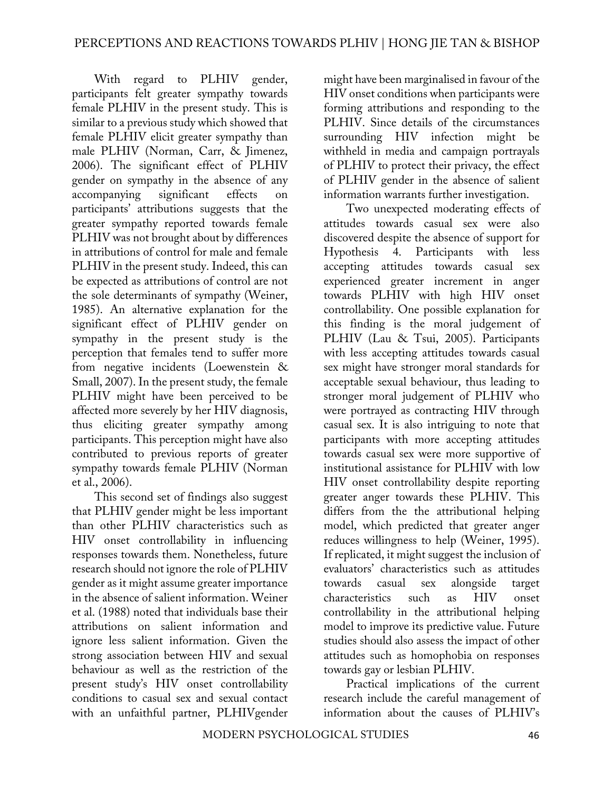With regard to PLHIV gender, participants felt greater sympathy towards female PLHIV in the present study. This is similar to a previous study which showed that female PLHIV elicit greater sympathy than male PLHIV (Norman, Carr, & Jimenez, 2006). The significant effect of PLHIV gender on sympathy in the absence of any accompanying significant effects on participants' attributions suggests that the greater sympathy reported towards female PLHIV was not brought about by differences in attributions of control for male and female PLHIV in the present study. Indeed, this can be expected as attributions of control are not the sole determinants of sympathy (Weiner, 1985). An alternative explanation for the significant effect of PLHIV gender on sympathy in the present study is the perception that females tend to suffer more from negative incidents (Loewenstein & Small, 2007). In the present study, the female PLHIV might have been perceived to be affected more severely by her HIV diagnosis, thus eliciting greater sympathy among participants. This perception might have also contributed to previous reports of greater sympathy towards female PLHIV (Norman et al., 2006).

This second set of findings also suggest that PLHIV gender might be less important than other PLHIV characteristics such as HIV onset controllability in influencing responses towards them. Nonetheless, future research should not ignore the role of PLHIV gender as it might assume greater importance in the absence of salient information. Weiner et al. (1988) noted that individuals base their attributions on salient information and ignore less salient information. Given the strong association between HIV and sexual behaviour as well as the restriction of the present study's HIV onset controllability conditions to casual sex and sexual contact with an unfaithful partner, PLHIVgender

might have been marginalised in favour of the HIV onset conditions when participants were forming attributions and responding to the PLHIV. Since details of the circumstances surrounding HIV infection might be withheld in media and campaign portrayals of PLHIV to protect their privacy, the effect of PLHIV gender in the absence of salient information warrants further investigation.

Two unexpected moderating effects of attitudes towards casual sex were also discovered despite the absence of support for Hypothesis 4. Participants with less accepting attitudes towards casual sex experienced greater increment in anger towards PLHIV with high HIV onset controllability. One possible explanation for this finding is the moral judgement of PLHIV (Lau & Tsui, 2005). Participants with less accepting attitudes towards casual sex might have stronger moral standards for acceptable sexual behaviour, thus leading to stronger moral judgement of PLHIV who were portrayed as contracting HIV through casual sex. It is also intriguing to note that participants with more accepting attitudes towards casual sex were more supportive of institutional assistance for PLHIV with low HIV onset controllability despite reporting greater anger towards these PLHIV. This differs from the the attributional helping model, which predicted that greater anger reduces willingness to help (Weiner, 1995). If replicated, it might suggest the inclusion of evaluators' characteristics such as attitudes towards casual sex alongside target characteristics such as HIV onset controllability in the attributional helping model to improve its predictive value. Future studies should also assess the impact of other attitudes such as homophobia on responses towards gay or lesbian PLHIV.

Practical implications of the current research include the careful management of information about the causes of PLHIV's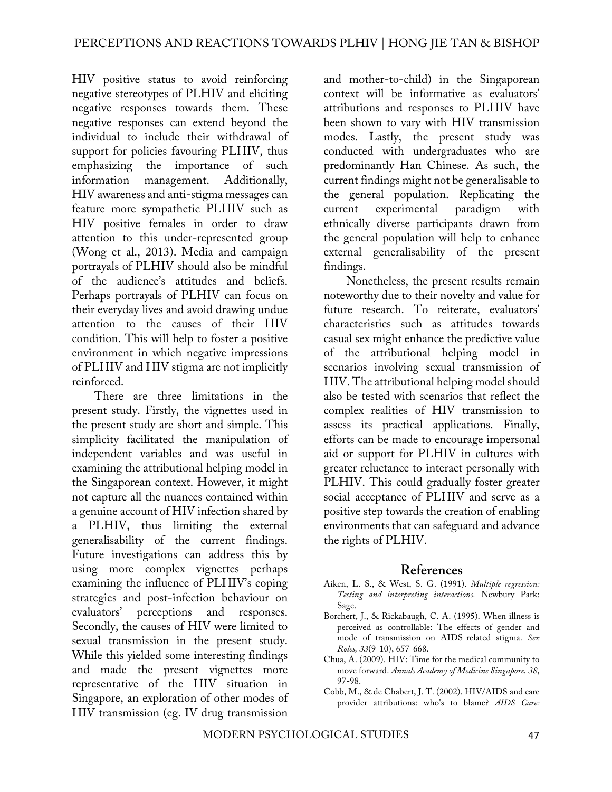HIV positive status to avoid reinforcing negative stereotypes of PLHIV and eliciting negative responses towards them. These negative responses can extend beyond the individual to include their withdrawal of support for policies favouring PLHIV, thus emphasizing the importance of such information management. Additionally, HIV awareness and anti-stigma messages can feature more sympathetic PLHIV such as HIV positive females in order to draw attention to this under-represented group (Wong et al., 2013). Media and campaign portrayals of PLHIV should also be mindful of the audience's attitudes and beliefs. Perhaps portrayals of PLHIV can focus on their everyday lives and avoid drawing undue attention to the causes of their HIV condition. This will help to foster a positive environment in which negative impressions of PLHIV and HIV stigma are not implicitly reinforced.

There are three limitations in the present study. Firstly, the vignettes used in the present study are short and simple. This simplicity facilitated the manipulation of independent variables and was useful in examining the attributional helping model in the Singaporean context. However, it might not capture all the nuances contained within a genuine account of HIV infection shared by a PLHIV, thus limiting the external generalisability of the current findings. Future investigations can address this by using more complex vignettes perhaps examining the influence of PLHIV's coping strategies and post-infection behaviour on evaluators' perceptions and responses. Secondly, the causes of HIV were limited to sexual transmission in the present study. While this yielded some interesting findings and made the present vignettes more representative of the HIV situation in Singapore, an exploration of other modes of HIV transmission (eg. IV drug transmission

and mother-to-child) in the Singaporean context will be informative as evaluators' attributions and responses to PLHIV have been shown to vary with HIV transmission modes. Lastly, the present study was conducted with undergraduates who are predominantly Han Chinese. As such, the current findings might not be generalisable to the general population. Replicating the current experimental paradigm with ethnically diverse participants drawn from the general population will help to enhance external generalisability of the present findings.

Nonetheless, the present results remain noteworthy due to their novelty and value for future research. To reiterate, evaluators' characteristics such as attitudes towards casual sex might enhance the predictive value of the attributional helping model in scenarios involving sexual transmission of HIV. The attributional helping model should also be tested with scenarios that reflect the complex realities of HIV transmission to assess its practical applications. Finally, efforts can be made to encourage impersonal aid or support for PLHIV in cultures with greater reluctance to interact personally with PLHIV. This could gradually foster greater social acceptance of PLHIV and serve as a positive step towards the creation of enabling environments that can safeguard and advance the rights of PLHIV.

#### **References**

- Aiken, L. S., & West, S. G. (1991). *Multiple regression: Testing and interpreting interactions.* Newbury Park: Sage.
- Borchert, J., & Rickabaugh, C. A. (1995). When illness is perceived as controllable: The effects of gender and mode of transmission on AIDS-related stigma. *Sex Roles, 33*(9-10), 657-668.
- Chua, A. (2009). HIV: Time for the medical community to move forward. *Annals Academy of Medicine Singapore, 38*, 97-98.
- Cobb, M., & de Chabert, J. T. (2002). HIV/AIDS and care provider attributions: who's to blame? *AIDS Care:*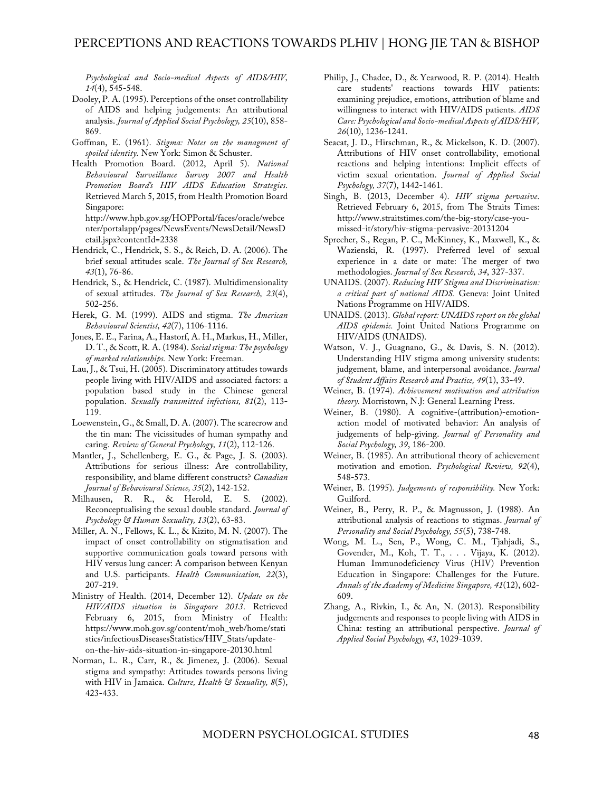*Psychological and Socio-medical Aspects of AIDS/HIV, 14*(4), 545-548.

- Dooley, P. A. (1995). Perceptions of the onset controllability of AIDS and helping judgements: An attributional analysis. *Journal of Applied Social Psychology, 25*(10), 858- 869.
- Goffman, E. (1961). *Stigma: Notes on the managment of spoiled identity.* New York: Simon & Schuster.
- Health Promotion Board. (2012, April 5). *National Behavioural Surveillance Survey 2007 and Health Promotion Board's HIV AIDS Education Strategies*. Retrieved March 5, 2015, from Health Promotion Board Singapore: http://www.hpb.gov.sg/HOPPortal/faces/oracle/webce nter/portalapp/pages/NewsEvents/NewsDetail/NewsD
- Hendrick, C., Hendrick, S. S., & Reich, D. A. (2006). The brief sexual attitudes scale. *The Journal of Sex Research, 43*(1), 76-86.

etail.jspx?contentId=2338

- Hendrick, S., & Hendrick, C. (1987). Multidimensionality of sexual attitudes. *The Journal of Sex Research, 23*(4), 502-256.
- Herek, G. M. (1999). AIDS and stigma. *The American Behavioural Scientist, 42*(7), 1106-1116.
- Jones, E. E., Farina, A., Hastorf, A. H., Markus, H., Miller, D. T., & Scott, R. A. (1984). *Social stigma: The psychology of marked relationships.* New York: Freeman.
- Lau, J., & Tsui, H. (2005). Discriminatory attitudes towards people living with HIV/AIDS and associated factors: a population based study in the Chinese general population. *Sexually transmitted infections, 81*(2), 113- 119.
- Loewenstein, G., & Small, D. A. (2007). The scarecrow and the tin man: The vicissitudes of human sympathy and caring. *Review of General Psychology, 11*(2), 112-126.
- Mantler, J., Schellenberg, E. G., & Page, J. S. (2003). Attributions for serious illness: Are controllability, responsibility, and blame different constructs? *Canadian Journal of Behavioural Science, 35*(2), 142-152.
- Milhausen, R. R., & Herold, E. S. (2002). Reconceptualising the sexual double standard. *Journal of Psychology & Human Sexuality, 13*(2), 63-83.
- Miller, A. N., Fellows, K. L., & Kizito, M. N. (2007). The impact of onset controllability on stigmatisation and supportive communication goals toward persons with HIV versus lung cancer: A comparison between Kenyan and U.S. participants. *Health Communication, 22*(3), 207-219.
- Ministry of Health. (2014, December 12). *Update on the HIV/AIDS situation in Singapore 2013*. Retrieved February 6, 2015, from Ministry of Health: https://www.moh.gov.sg/content/moh\_web/home/stati stics/infectiousDiseasesStatistics/HIV\_Stats/updateon-the-hiv-aids-situation-in-singapore-20130.html
- Norman, L. R., Carr, R., & Jimenez, J. (2006). Sexual stigma and sympathy: Attitudes towards persons living with HIV in Jamaica. *Culture, Health & Sexuality, 8*(5), 423-433.
- Philip, J., Chadee, D., & Yearwood, R. P. (2014). Health care students' reactions towards HIV patients: examining prejudice, emotions, attribution of blame and willingness to interact with HIV/AIDS patients. *AIDS Care: Psychological and Socio-medical Aspects of AIDS/HIV, 26*(10), 1236-1241.
- Seacat, J. D., Hirschman, R., & Mickelson, K. D. (2007). Attributions of HIV onset controllability, emotional reactions and helping intentions: Implicit effects of victim sexual orientation. *Journal of Applied Social Psychology, 37*(7), 1442-1461.
- Singh, B. (2013, December 4). *HIV stigma pervasive*. Retrieved February 6, 2015, from The Straits Times: http://www.straitstimes.com/the-big-story/case-youmissed-it/story/hiv-stigma-pervasive-20131204
- Sprecher, S., Regan, P. C., McKinney, K., Maxwell, K., & Wazienski, R. (1997). Preferred level of sexual experience in a date or mate: The merger of two methodologies. *Journal of Sex Research, 34*, 327-337.
- UNAIDS. (2007). *Reducing HIV Stigma and Discrimination: a critical part of national AIDS.* Geneva: Joint United Nations Programme on HIV/AIDS.
- UNAIDS. (2013). *Global report: UNAIDS report on the global AIDS epidemic.* Joint United Nations Programme on HIV/AIDS (UNAIDS).
- Watson, V. J., Guagnano, G., & Davis, S. N. (2012). Understanding HIV stigma among university students: judgement, blame, and interpersonal avoidance. *Journal of Student Affairs Research and Practice, 49*(1), 33-49.
- Weiner, B. (1974). *Achievement motivation and attribution theory.* Morristown, N.J: General Learning Press.
- Weiner, B. (1980). A cognitive-(attribution)-emotionaction model of motivated behavior: An analysis of judgements of help-giving. *Journal of Personality and Social Psychology, 39*, 186-200.
- Weiner, B. (1985). An attributional theory of achievement motivation and emotion. *Psychological Review, 92*(4), 548-573.
- Weiner, B. (1995). *Judgements of responsibility.* New York: Guilford.
- Weiner, B., Perry, R. P., & Magnusson, J. (1988). An attributional analysis of reactions to stigmas. *Journal of Personality and Social Psychology, 55*(5), 738-748.
- Wong, M. L., Sen, P., Wong, C. M., Tjahjadi, S., Govender, M., Koh, T. T., . . . Vijaya, K. (2012). Human Immunodeficiency Virus (HIV) Prevention Education in Singapore: Challenges for the Future. *Annals of the Academy of Medicine Singapore, 41*(12), 602- 609.
- Zhang, A., Rivkin, I., & An, N. (2013). Responsibility judgements and responses to people living with AIDS in China: testing an attributional perspective. *Journal of Applied Social Psychology, 43*, 1029-1039.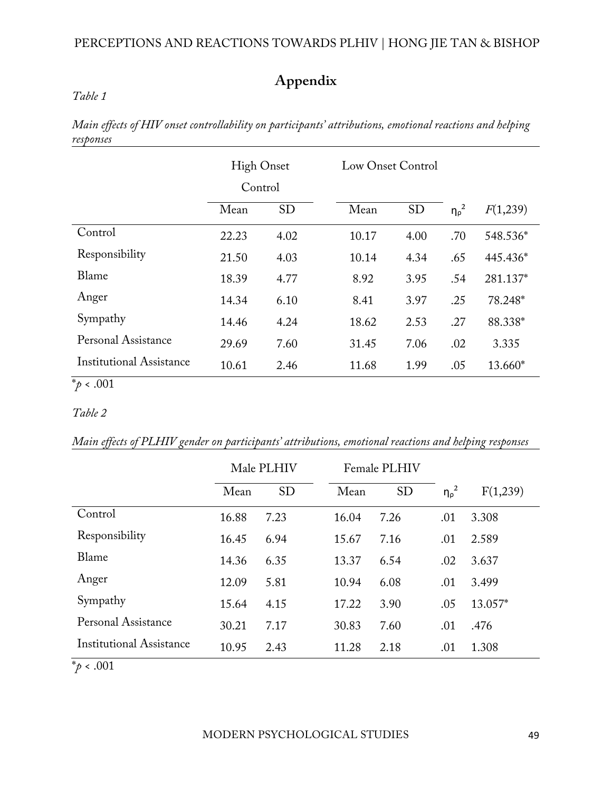#### PERCEPTIONS AND REACTIONS TOWARDS PLHIV | HONG JIE TAN & BISHOP

## **Appendix**

#### *Table 1*

*Main effects of HIV onset controllability on participants' attributions, emotional reactions and helping responses*

|                                 | <b>High Onset</b><br>Control |           | Low Onset Control |           |                   |          |
|---------------------------------|------------------------------|-----------|-------------------|-----------|-------------------|----------|
|                                 | Mean                         | <b>SD</b> | Mean              | <b>SD</b> | $\eta_{\rho}^{2}$ | F(1,239) |
| Control                         | 22.23                        | 4.02      | 10.17             | 4.00      | .70               | 548.536* |
| Responsibility                  | 21.50                        | 4.03      | 10.14             | 4.34      | .65               | 445.436* |
| Blame                           | 18.39                        | 4.77      | 8.92              | 3.95      | .54               | 281.137* |
| Anger                           | 14.34                        | 6.10      | 8.41              | 3.97      | .25               | 78.248*  |
| Sympathy                        | 14.46                        | 4.24      | 18.62             | 2.53      | .27               | 88.338*  |
| Personal Assistance             | 29.69                        | 7.60      | 31.45             | 7.06      | .02               | 3.335    |
| <b>Institutional Assistance</b> | 10.61                        | 2.46      | 11.68             | 1.99      | .05               | 13.660*  |

### $*\! p \cdot .001$

#### *Table 2*

*Main effects of PLHIV gender on participants' attributions, emotional reactions and helping responses*

|                          | Male PLHIV |           | Female PLHIV |           |                   |          |
|--------------------------|------------|-----------|--------------|-----------|-------------------|----------|
|                          | Mean       | <b>SD</b> | Mean         | <b>SD</b> | $\eta_{\rho}^{2}$ | F(1,239) |
| Control                  | 16.88      | 7.23      | 16.04        | 7.26      | .01               | 3.308    |
| Responsibility           | 16.45      | 6.94      | 15.67        | 7.16      | .01               | 2.589    |
| Blame                    | 14.36      | 6.35      | 13.37        | 6.54      | .02               | 3.637    |
| Anger                    | 12.09      | 5.81      | 10.94        | 6.08      | .01               | 3.499    |
| Sympathy                 | 15.64      | 4.15      | 17.22        | 3.90      | .05               | 13.057*  |
| Personal Assistance      | 30.21      | 7.17      | 30.83        | 7.60      | .01               | .476     |
| Institutional Assistance | 10.95      | 2.43      | 11.28        | 2.18      | .01               | 1.308    |

 $\frac{1}{2}$   $\phi$  < .001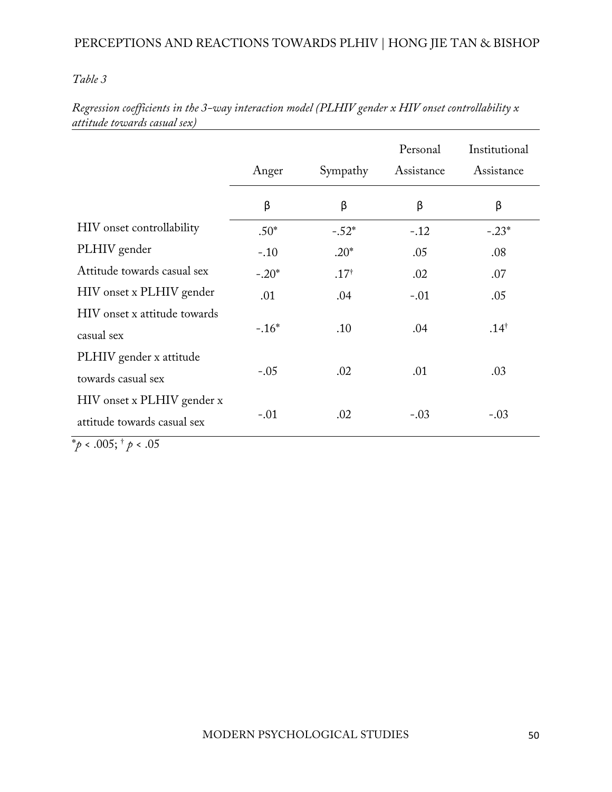#### *Table 3*

|                                                           | Anger   | Sympathy         | Personal<br>Assistance | Institutional<br>Assistance |
|-----------------------------------------------------------|---------|------------------|------------------------|-----------------------------|
|                                                           | β       | β                | β                      | β                           |
| HIV onset controllability                                 | $.50*$  | $-.52*$          | $-.12$                 | $-.23*$                     |
| PLHIV gender                                              | $-.10$  | $.20*$           | .05                    | .08                         |
| Attitude towards casual sex                               | $-.20*$ | .17 <sup>†</sup> | .02                    | .07                         |
| HIV onset x PLHIV gender                                  | .01     | .04              | $-.01$                 | .05                         |
| HIV onset x attitude towards<br>casual sex                | $-.16*$ | .10              | .04                    | $.14^{\dagger}$             |
| PLHIV gender x attitude<br>towards casual sex             | $-.05$  | .02              | .01                    | .03                         |
| HIV onset x PLHIV gender x<br>attitude towards casual sex | $-.01$  | .02              | $-.03$                 | $-.03$                      |

*Regression coefficients in the 3-way interaction model (PLHIV gender x HIV onset controllability x attitude towards casual sex)*

\**p* < .005; † *p* < .05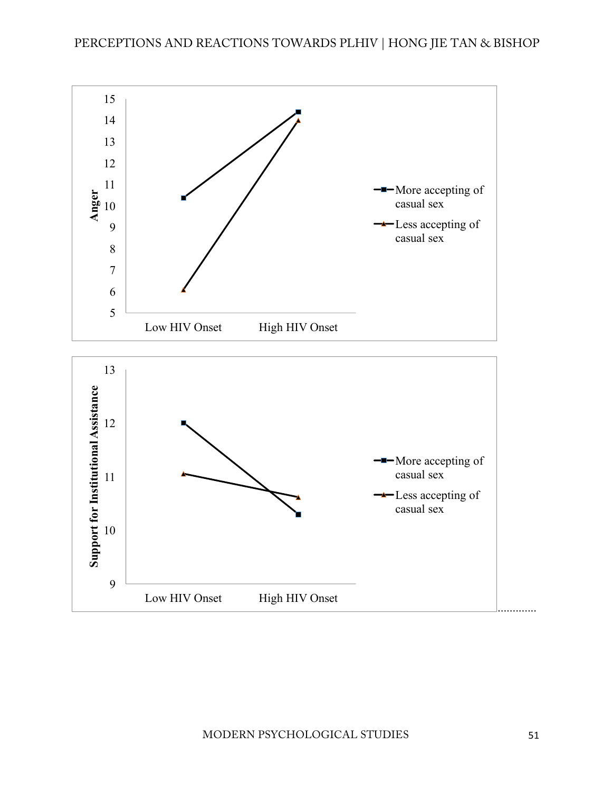